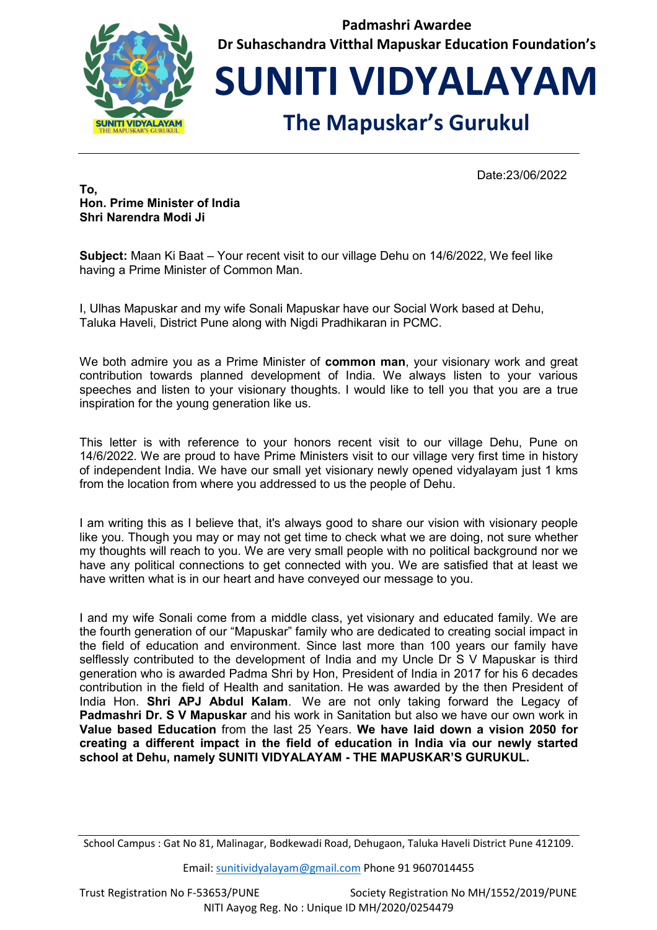

**Padmashri Awardee Dr Suhaschandra Vitthal Mapuskar Education Foundation's** 

**SUNITI VIDYALAYAM**

## **The Mapuskar's Gurukul**

Date:23/06/2022

**To, Hon. Prime Minister of India Shri Narendra Modi Ji**

**Subject:** Maan Ki Baat – Your recent visit to our village Dehu on 14/6/2022, We feel like having a Prime Minister of Common Man.

I, Ulhas Mapuskar and my wife Sonali Mapuskar have our Social Work based at Dehu, Taluka Haveli, District Pune along with Nigdi Pradhikaran in PCMC.

We both admire you as a Prime Minister of **common man**, your visionary work and great contribution towards planned development of India. We always listen to your various speeches and listen to your visionary thoughts. I would like to tell you that you are a true inspiration for the young generation like us.

This letter is with reference to your honors recent visit to our village Dehu, Pune on 14/6/2022. We are proud to have Prime Ministers visit to our village very first time in history of independent India. We have our small yet visionary newly opened vidyalayam just 1 kms from the location from where you addressed to us the people of Dehu.

I am writing this as I believe that, it's always good to share our vision with visionary people like you. Though you may or may not get time to check what we are doing, not sure whether my thoughts will reach to you. We are very small people with no political background nor we have any political connections to get connected with you. We are satisfied that at least we have written what is in our heart and have conveyed our message to you.

I and my wife Sonali come from a middle class, yet visionary and educated family. We are the fourth generation of our "Mapuskar" family who are dedicated to creating social impact in the field of education and environment. Since last more than 100 years our family have selflessly contributed to the development of India and my Uncle Dr S V Mapuskar is third generation who is awarded Padma Shri by Hon, President of India in 2017 for his 6 decades contribution in the field of Health and sanitation. He was awarded by the then President of India Hon. **Shri APJ Abdul Kalam**. We are not only taking forward the Legacy of **Padmashri Dr. S V Mapuskar** and his work in Sanitation but also we have our own work in **Value based Education** from the last 25 Years. **We have laid down a vision 2050 for creating a different impact in the field of education in India via our newly started school at Dehu, namely SUNITI VIDYALAYAM - THE MAPUSKAR'S GURUKUL.** 

Email: sunitividyalayam@gmail.com Phone 91 9607014455

School Campus : Gat No 81, Malinagar, Bodkewadi Road, Dehugaon, Taluka Haveli District Pune 412109.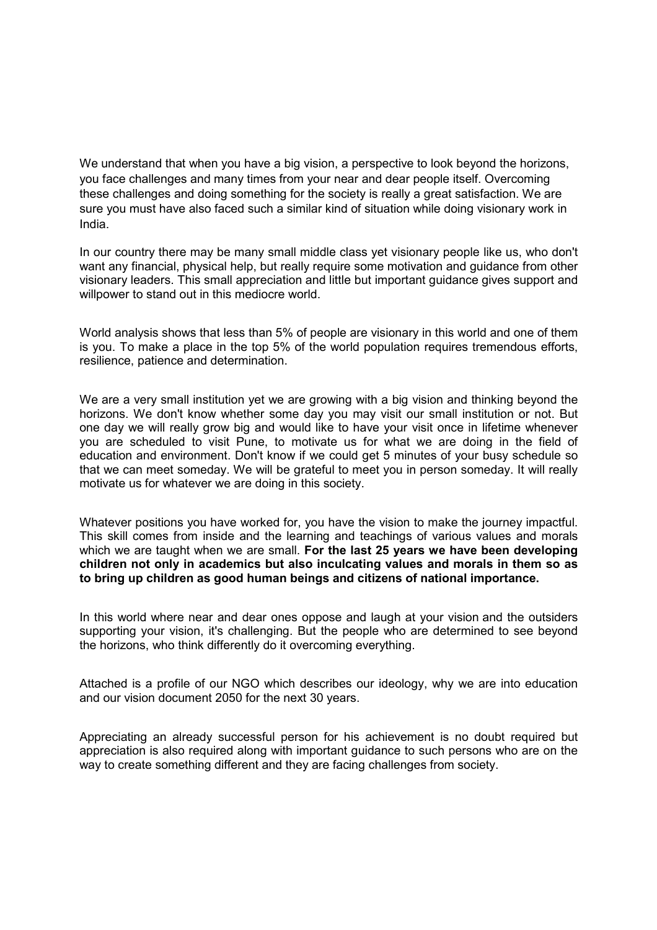We understand that when you have a big vision, a perspective to look beyond the horizons, you face challenges and many times from your near and dear people itself. Overcoming these challenges and doing something for the society is really a great satisfaction. We are sure you must have also faced such a similar kind of situation while doing visionary work in India.

In our country there may be many small middle class yet visionary people like us, who don't want any financial, physical help, but really require some motivation and guidance from other visionary leaders. This small appreciation and little but important guidance gives support and willpower to stand out in this mediocre world.

World analysis shows that less than 5% of people are visionary in this world and one of them is you. To make a place in the top 5% of the world population requires tremendous efforts, resilience, patience and determination.

We are a very small institution yet we are growing with a big vision and thinking beyond the horizons. We don't know whether some day you may visit our small institution or not. But one day we will really grow big and would like to have your visit once in lifetime whenever you are scheduled to visit Pune, to motivate us for what we are doing in the field of education and environment. Don't know if we could get 5 minutes of your busy schedule so that we can meet someday. We will be grateful to meet you in person someday. It will really motivate us for whatever we are doing in this society.

Whatever positions you have worked for, you have the vision to make the journey impactful. This skill comes from inside and the learning and teachings of various values and morals which we are taught when we are small. **For the last 25 years we have been developing children not only in academics but also inculcating values and morals in them so as to bring up children as good human beings and citizens of national importance.**

In this world where near and dear ones oppose and laugh at your vision and the outsiders supporting your vision, it's challenging. But the people who are determined to see beyond the horizons, who think differently do it overcoming everything.

Attached is a profile of our NGO which describes our ideology, why we are into education and our vision document 2050 for the next 30 years.

Appreciating an already successful person for his achievement is no doubt required but appreciation is also required along with important guidance to such persons who are on the way to create something different and they are facing challenges from society.